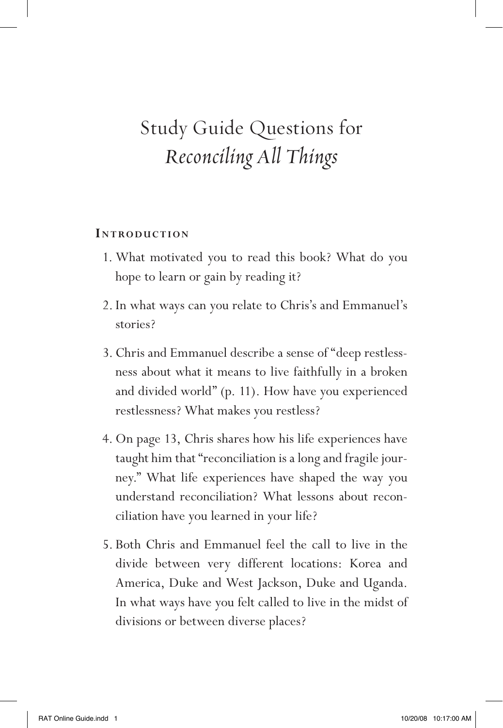#### **INTRODUCTION**

- 1. What motivated you to read this book? What do you hope to learn or gain by reading it?
- 2. In what ways can you relate to Chris's and Emmanuel's stories?
- 3. Chris and Emmanuel describe a sense of "deep restlessness about what it means to live faithfully in a broken and divided world" (p. 11). How have you experienced restlessness? What makes you restless?
- 4. On page 13, Chris shares how his life experiences have taught him that "reconciliation is a long and fragile journey." What life experiences have shaped the way you understand reconciliation? What lessons about reconciliation have you learned in your life?
- 5. Both Chris and Emmanuel feel the call to live in the divide between very different locations: Korea and America, Duke and West Jackson, Duke and Uganda. In what ways have you felt called to live in the midst of divisions or between diverse places?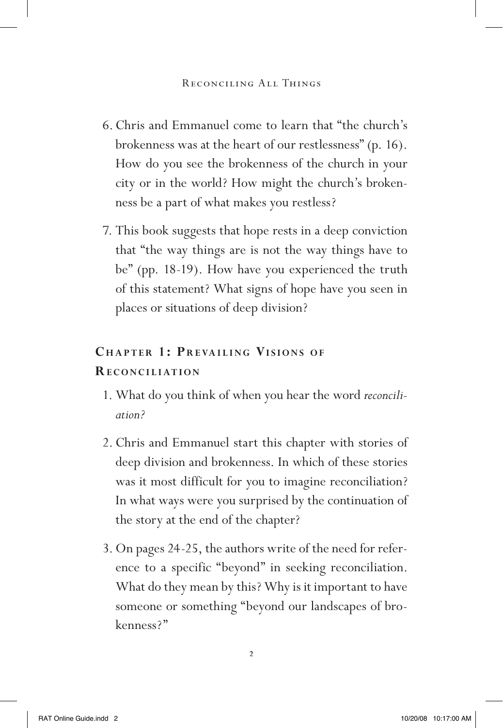- 6.Chris and Emmanuel come to learn that "the church's brokenness was at the heart of our restlessness" (p. 16). How do you see the brokenness of the church in your city or in the world? How might the church's brokenness be a part of what makes you restless?
- 7. This book suggests that hope rests in a deep conviction that "the way things are is not the way things have to be" (pp. 18-19). How have you experienced the truth of this statement? What signs of hope have you seen in places or situations of deep division?

# **CHAPTER 1: PREVAILING VISIONS OF Re c o n ci <sup>l</sup> iat io n**

- 1. What do you think of when you hear the word *reconciliation?*
- 2. Chris and Emmanuel start this chapter with stories of deep division and brokenness. In which of these stories was it most difficult for you to imagine reconciliation? In what ways were you surprised by the continuation of the story at the end of the chapter?
- 3. On pages 24-25, the authors write of the need for reference to a specific "beyond" in seeking reconciliation. What do they mean by this? Why is it important to have someone or something "beyond our landscapes of brokenness?"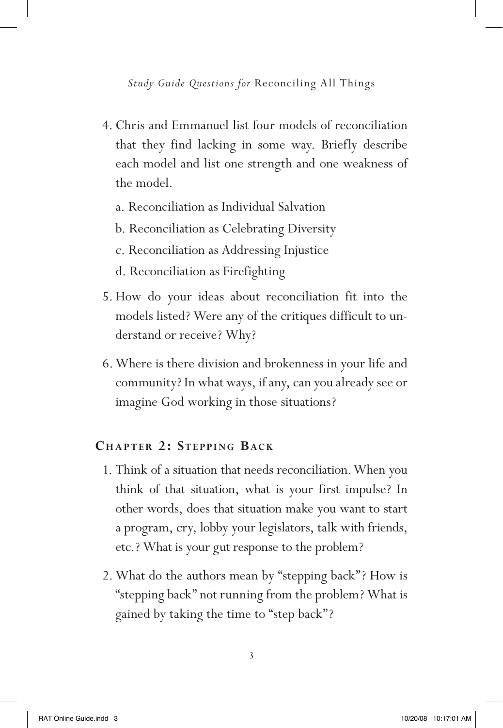- 4. Chris and Emmanuel list four models of reconciliation that they find lacking in some way. Briefly describe each model and list one strength and one weakness of the model.
	- a. Reconciliation as Individual Salvation
	- b. Reconciliation as Celebrating Diversity
	- c. Reconciliation as Addressing Injustice
	- d. Reconciliation as Firefighting
- 5.How do your ideas about reconciliation fit into the models listed? Were any of the critiques difficult to understand or receive? Why?
- 6.Where is there division and brokenness in your life and community? In what ways, if any, can you already see or imagine God working in those situations?

## CHAPTER 2: STEPPING BACK

- 1. Think of a situation that needs reconciliation.When you think of that situation, what is your first impulse? In other words, does that situation make you want to start a program, cry, lobby your legislators, talk with friends, etc.? What is your gut response to the problem?
- 2. What do the authors mean by "stepping back"? How is "stepping back" not running from the problem? What is gained by taking the time to "step back"?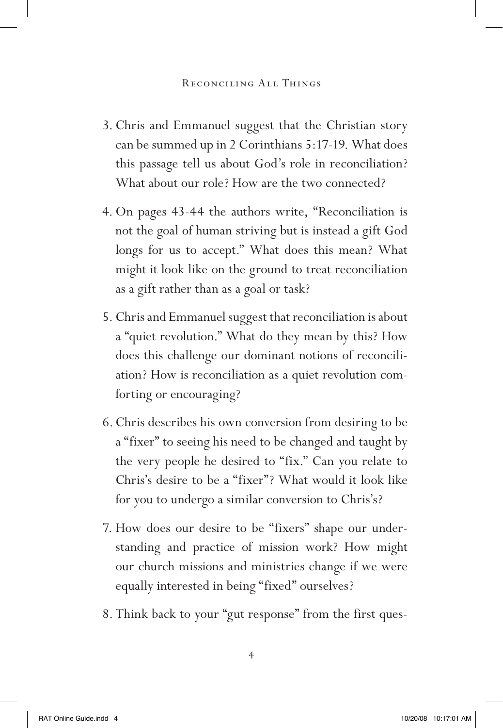- 3. Chris and Emmanuel suggest that the Christian story can be summed up in 2 Corinthians 5:17-19. What does this passage tell us about God's role in reconciliation? What about our role? How are the two connected?
- 4. On pages 43-44 the authors write, "Reconciliation is not the goal of human striving but is instead a gift God longs for us to accept." What does this mean? What might it look like on the ground to treat reconciliation as a gift rather than as a goal or task?
- 5. Chris and Emmanuel suggest that reconciliation is about a "quiet revolution." What do they mean by this? How does this challenge our dominant notions of reconciliation? How is reconciliation as a quiet revolution comforting or encouraging?
- 6.Chris describes his own conversion from desiring to be a "fixer" to seeing his need to be changed and taught by the very people he desired to "fix." Can you relate to Chris's desire to be a "fixer"? What would it look like for you to undergo a similar conversion to Chris's?
- 7. How does our desire to be "fixers" shape our understanding and practice of mission work? How might our church missions and ministries change if we were equally interested in being "fixed" ourselves?
- 8. Think back to your "gut response" from the first ques-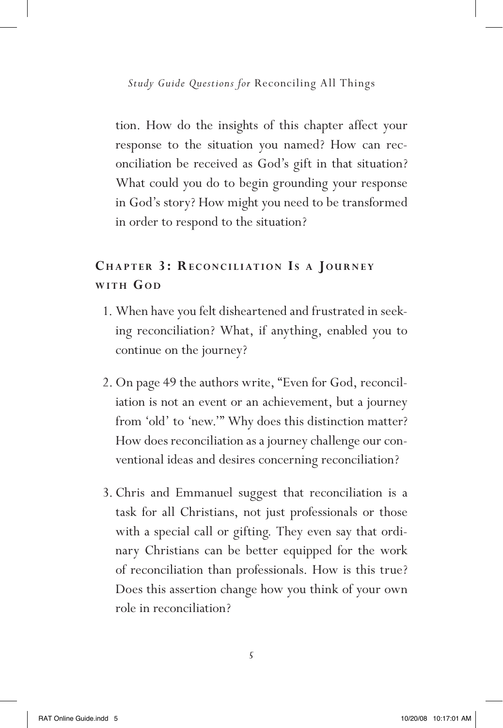tion. How do the insights of this chapter affect your response to the situation you named? How can reconciliation be received as God's gift in that situation? What could you do to begin grounding your response in God's story? How might you need to be transformed in order to respond to the situation?

# **CHAPTER 3: RECONCILIATION IS A JOURNEY**  $W$ **ITH**  $G$ <sup>OD</sup>

- 1. When have you felt disheartened and frustrated in seeking reconciliation? What, if anything, enabled you to continue on the journey?
- 2. On page 49 the authors write, "Even for God, reconciliation is not an event or an achievement, but a journey from 'old' to 'new.'" Why does this distinction matter? How does reconciliation as a journey challenge our conventional ideas and desires concerning reconciliation?
- 3. Chris and Emmanuel suggest that reconciliation is a task for all Christians, not just professionals or those with a special call or gifting. They even say that ordinary Christians can be better equipped for the work of reconciliation than professionals. How is this true? Does this assertion change how you think of your own role in reconciliation?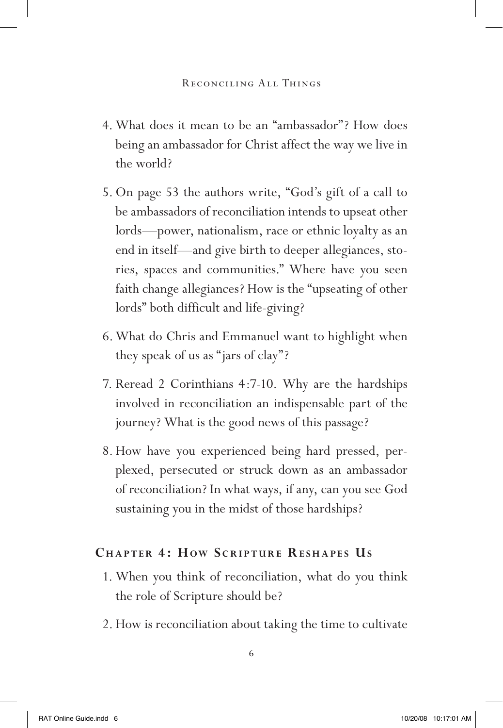- 4. What does it mean to be an "ambassador"? How does being an ambassador for Christ affect the way we live in the world?
- 5. On page 53 the authors write, "God's gift of a call to be ambassadors of reconciliation intends to upseat other lords—power, nationalism, race or ethnic loyalty as an end in itself—and give birth to deeper allegiances, stories, spaces and communities." Where have you seen faith change allegiances? How is the "upseating of other lords" both difficult and life-giving?
- 6.What do Chris and Emmanuel want to highlight when they speak of us as "jars of clay"?
- 7. Reread 2 Corinthians 4:7-10. Why are the hardships involved in reconciliation an indispensable part of the journey? What is the good news of this passage?
- 8.How have you experienced being hard pressed, perplexed, persecuted or struck down as an ambassador of reconciliation? In what ways, if any, can you see God sustaining you in the midst of those hardships?

## **CHAPTER 4: HOW SCRIPTURE RESHAPES US**

- 1. When you think of reconciliation, what do you think the role of Scripture should be?
- 2.How is reconciliation about taking the time to cultivate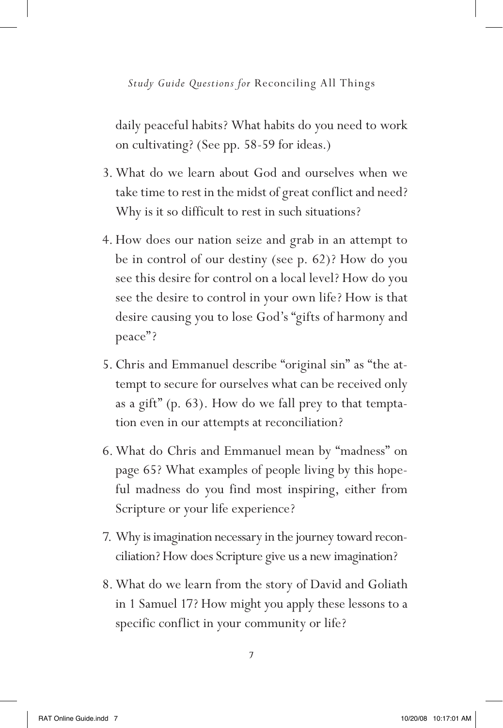daily peaceful habits? What habits do you need to work on cultivating? (See pp. 58-59 for ideas.)

- 3. What do we learn about God and ourselves when we take time to rest in the midst of great conflict and need? Why is it so difficult to rest in such situations?
- 4.How does our nation seize and grab in an attempt to be in control of our destiny (see p. 62)? How do you see this desire for control on a local level? How do you see the desire to control in your own life? How is that desire causing you to lose God's "gifts of harmony and peace"?
- 5. Chris and Emmanuel describe "original sin" as "the attempt to secure for ourselves what can be received only as a gift" (p. 63). How do we fall prey to that temptation even in our attempts at reconciliation?
- 6.What do Chris and Emmanuel mean by "madness" on page 65? What examples of people living by this hopeful madness do you find most inspiring, either from Scripture or your life experience?
- 7. Why is imagination necessary in the journey toward reconciliation? How does Scripture give us a new imagination?
- 8.What do we learn from the story of David and Goliath in 1 Samuel 17? How might you apply these lessons to a specific conflict in your community or life?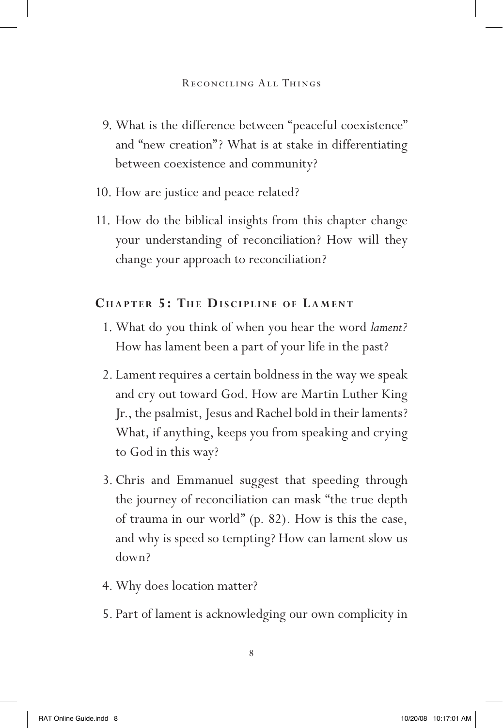- 9. What is the difference between "peaceful coexistence" and "new creation"? What is at stake in differentiating between coexistence and community?
- 10. How are justice and peace related?
- 11. How do the biblical insights from this chapter change your understanding of reconciliation? How will they change your approach to reconciliation?

## **CHAPTER 5: THE DISCIPLINE OF LAMENT**

- 1. What do you think of when you hear the word *lament?* How has lament been a part of your life in the past?
- 2. Lament requires a certain boldness in the way we speak and cry out toward God. How are Martin Luther King Jr., the psalmist, Jesus and Rachel bold in their laments? What, if anything, keeps you from speaking and crying to God in this way?
- 3. Chris and Emmanuel suggest that speeding through the journey of reconciliation can mask "the true depth of trauma in our world" (p. 82). How is this the case, and why is speed so tempting? How can lament slow us down?
- 4. Why does location matter?
- 5. Part of lament is acknowledging our own complicity in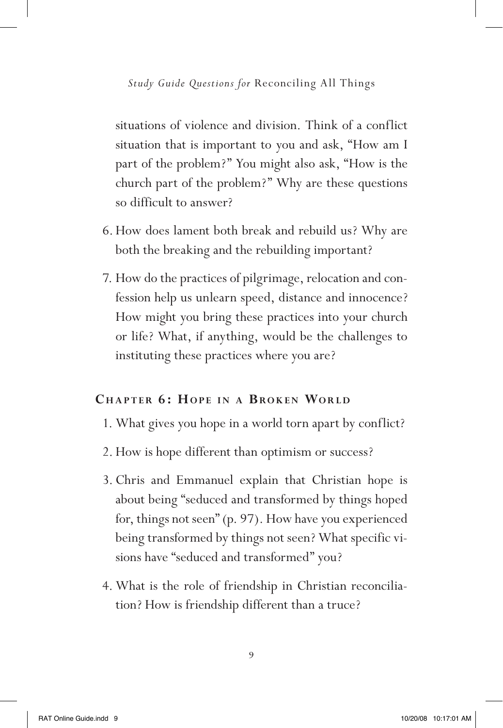situations of violence and division. Think of a conflict situation that is important to you and ask, "How am I part of the problem?" You might also ask, "How is the church part of the problem?" Why are these questions so difficult to answer?

- 6.How does lament both break and rebuild us? Why are both the breaking and the rebuilding important?
- 7. How do the practices of pilgrimage, relocation and confession help us unlearn speed, distance and innocence? How might you bring these practices into your church or life? What, if anything, would be the challenges to instituting these practices where you are?

#### **CHAPTER 6: HOPE IN A BROKEN WORLD**

- 1. What gives you hope in a world torn apart by conflict?
- 2.How is hope different than optimism or success?
- 3. Chris and Emmanuel explain that Christian hope is about being "seduced and transformed by things hoped for, things not seen" (p. 97). How have you experienced being transformed by things not seen? What specific visions have "seduced and transformed" you?
- 4. What is the role of friendship in Christian reconciliation? How is friendship different than a truce?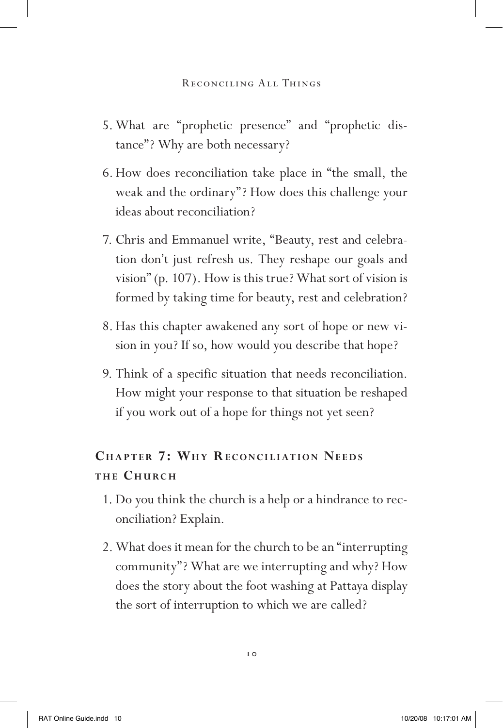- 5. What are "prophetic presence" and "prophetic distance"? Why are both necessary?
- 6.How does reconciliation take place in "the small, the weak and the ordinary"? How does this challenge your ideas about reconciliation?
- 7. Chris and Emmanuel write, "Beauty, rest and celebration don't just refresh us. They reshape our goals and vision" (p. 107). How is this true? What sort of vision is formed by taking time for beauty, rest and celebration?
- 8.Has this chapter awakened any sort of hope or new vision in you? If so, how would you describe that hope?
- 9. Think of a specific situation that needs reconciliation. How might your response to that situation be reshaped if you work out of a hope for things not yet seen?

# **CHAPTER 7: WHY RECONCILIATION NEEDS the Church**

- 1. Do you think the church is a help or a hindrance to reconciliation? Explain.
- 2. What does it mean for the church to be an "interrupting community"? What are we interrupting and why? How does the story about the foot washing at Pattaya display the sort of interruption to which we are called?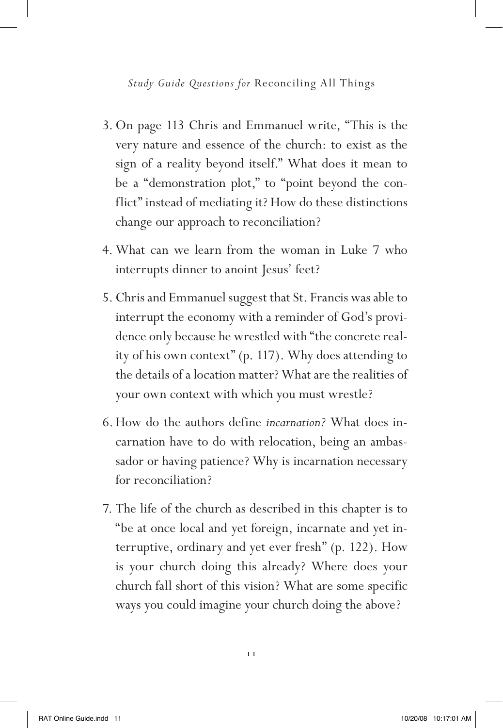- 3. On page 113 Chris and Emmanuel write, "This is the very nature and essence of the church: to exist as the sign of a reality beyond itself." What does it mean to be a "demonstration plot," to "point beyond the conflict" instead of mediating it? How do these distinctions change our approach to reconciliation?
- 4. What can we learn from the woman in Luke 7 who interrupts dinner to anoint Jesus' feet?
- 5. Chris and Emmanuel suggest that St. Francis was able to interrupt the economy with a reminder of God's providence only because he wrestled with "the concrete reality of his own context" (p. 117). Why does attending to the details of a location matter? What are the realities of your own context with which you must wrestle?
- 6.How do the authors define *incarnation?* What does incarnation have to do with relocation, being an ambassador or having patience? Why is incarnation necessary for reconciliation?
- 7. The life of the church as described in this chapter is to "be at once local and yet foreign, incarnate and yet interruptive, ordinary and yet ever fresh" (p. 122). How is your church doing this already? Where does your church fall short of this vision? What are some specific ways you could imagine your church doing the above?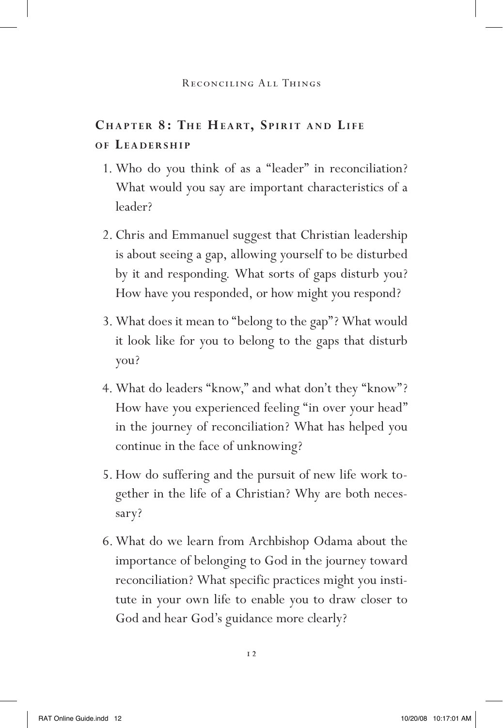## **CHAPTER 8: THE HEART, SPIRIT AND LIFE o f Le a d e r s hi <sup>p</sup>**

- 1. Who do you think of as a "leader" in reconciliation? What would you say are important characteristics of a leader?
- 2. Chris and Emmanuel suggest that Christian leadership is about seeing a gap, allowing yourself to be disturbed by it and responding. What sorts of gaps disturb you? How have you responded, or how might you respond?
- 3. What does it mean to "belong to the gap"? What would it look like for you to belong to the gaps that disturb you?
- 4. What do leaders "know," and what don't they "know"? How have you experienced feeling "in over your head" in the journey of reconciliation? What has helped you continue in the face of unknowing?
- 5.How do suffering and the pursuit of new life work together in the life of a Christian? Why are both necessary?
- 6.What do we learn from Archbishop Odama about the importance of belonging to God in the journey toward reconciliation? What specific practices might you institute in your own life to enable you to draw closer to God and hear God's guidance more clearly?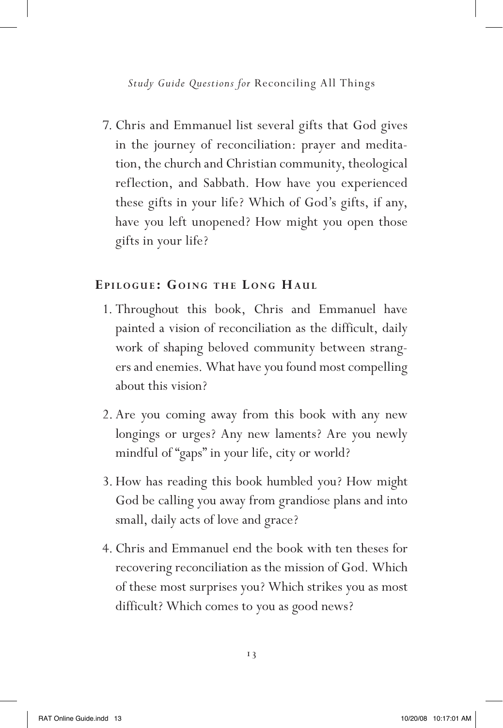7. Chris and Emmanuel list several gifts that God gives in the journey of reconciliation: prayer and meditation, the church and Christian community, theological reflection, and Sabbath. How have you experienced these gifts in your life? Which of God's gifts, if any, have you left unopened? How might you open those gifts in your life?

### **E pi l o g u e : G oin g t h e L o n g Hau l**

- 1. Throughout this book, Chris and Emmanuel have painted a vision of reconciliation as the difficult, daily work of shaping beloved community between strangers and enemies. What have you found most compelling about this vision?
- 2. Are you coming away from this book with any new longings or urges? Any new laments? Are you newly mindful of "gaps" in your life, city or world?
- 3.How has reading this book humbled you? How might God be calling you away from grandiose plans and into small, daily acts of love and grace?
- 4. Chris and Emmanuel end the book with ten theses for recovering reconciliation as the mission of God. Which of these most surprises you? Which strikes you as most difficult? Which comes to you as good news?